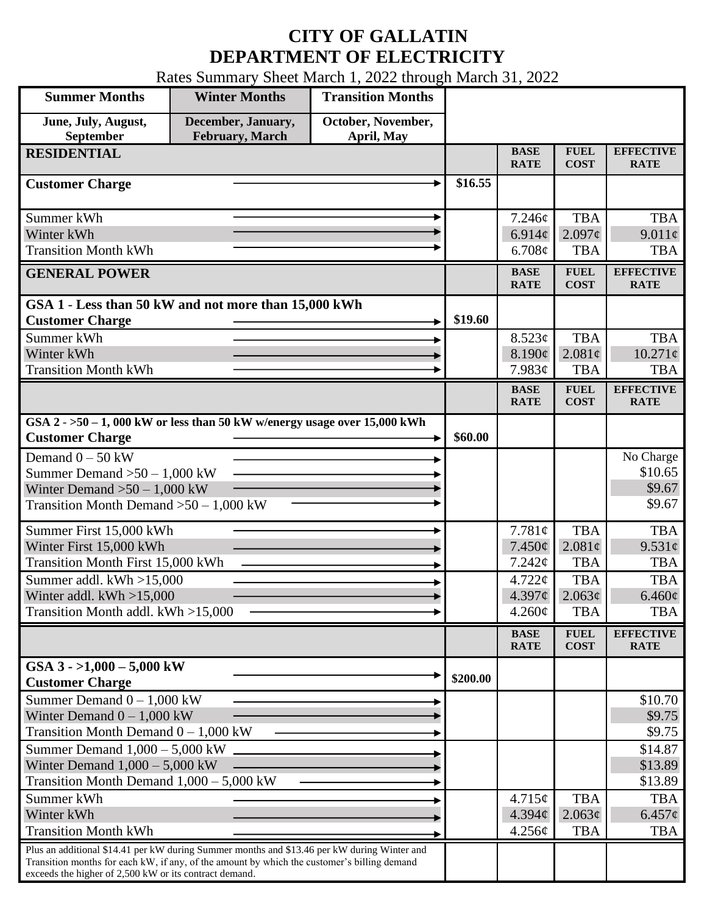## **CITY OF GALLATIN DEPARTMENT OF ELECTRICITY**

Rates Summary Sheet March 1, 2022 through March 31, 2022

| <b>Summer Months</b>                                                                                                                                                                                                                                 | <b>Winter Months</b>                  | <b>Transition Months</b>         |          |                               |                            |                                 |
|------------------------------------------------------------------------------------------------------------------------------------------------------------------------------------------------------------------------------------------------------|---------------------------------------|----------------------------------|----------|-------------------------------|----------------------------|---------------------------------|
| June, July, August,<br>September                                                                                                                                                                                                                     | December, January,<br>February, March | October, November,<br>April, May |          |                               |                            |                                 |
| <b>RESIDENTIAL</b>                                                                                                                                                                                                                                   |                                       |                                  |          | <b>BASE</b><br><b>RATE</b>    | <b>FUEL</b><br><b>COST</b> | <b>EFFECTIVE</b><br><b>RATE</b> |
| <b>Customer Charge</b>                                                                                                                                                                                                                               |                                       |                                  | \$16.55  |                               |                            |                                 |
| Summer kWh                                                                                                                                                                                                                                           |                                       |                                  |          | 7.246¢                        | <b>TBA</b>                 | <b>TBA</b>                      |
| Winter kWh                                                                                                                                                                                                                                           |                                       |                                  |          | 6.914 $\phi$                  | $2.097\epsilon$            | $9.011\phi$                     |
| <b>Transition Month kWh</b>                                                                                                                                                                                                                          |                                       |                                  |          | 6.708¢                        | <b>TBA</b>                 | <b>TBA</b>                      |
| <b>GENERAL POWER</b>                                                                                                                                                                                                                                 |                                       |                                  |          | <b>BASE</b><br><b>RATE</b>    | <b>FUEL</b><br><b>COST</b> | <b>EFFECTIVE</b><br><b>RATE</b> |
| GSA 1 - Less than 50 kW and not more than 15,000 kWh                                                                                                                                                                                                 |                                       |                                  |          |                               |                            |                                 |
| <b>Customer Charge</b>                                                                                                                                                                                                                               |                                       |                                  | \$19.60  |                               |                            |                                 |
| Summer kWh<br>Winter kWh                                                                                                                                                                                                                             |                                       |                                  |          | 8.523¢<br>8.190¢              | <b>TBA</b><br>2.081¢       | <b>TBA</b><br>$10.271\ell$      |
| <b>Transition Month kWh</b>                                                                                                                                                                                                                          |                                       |                                  |          | 7.983¢                        | <b>TBA</b>                 | <b>TBA</b>                      |
|                                                                                                                                                                                                                                                      |                                       |                                  |          | <b>BASE</b>                   | <b>FUEL</b>                | <b>EFFECTIVE</b>                |
|                                                                                                                                                                                                                                                      |                                       |                                  |          | <b>RATE</b>                   | <b>COST</b>                | <b>RATE</b>                     |
| GSA $2 - 50 - 1$ , 000 kW or less than 50 kW w/energy usage over 15,000 kWh<br><b>Customer Charge</b>                                                                                                                                                |                                       |                                  | \$60.00  |                               |                            |                                 |
| Demand $0 - 50$ kW                                                                                                                                                                                                                                   |                                       |                                  |          |                               |                            | No Charge                       |
| Summer Demand $>50-1,000$ kW                                                                                                                                                                                                                         |                                       |                                  |          |                               |                            | \$10.65                         |
| Winter Demand $>50 - 1,000$ kW                                                                                                                                                                                                                       |                                       |                                  |          |                               |                            | \$9.67                          |
| Transition Month Demand $>50-1,000$ kW                                                                                                                                                                                                               |                                       |                                  |          |                               |                            | \$9.67                          |
| Summer First 15,000 kWh                                                                                                                                                                                                                              |                                       |                                  |          | 7.781¢                        | <b>TBA</b>                 | <b>TBA</b>                      |
| Winter First 15,000 kWh                                                                                                                                                                                                                              |                                       |                                  |          | 7.450¢                        | $2.081\phi$                | 9.531¢                          |
| <b>Transition Month First 15,000 kWh</b>                                                                                                                                                                                                             |                                       |                                  |          | 7.242¢                        | <b>TBA</b>                 | <b>TBA</b>                      |
| Summer addl. kWh >15,000<br>Winter addl. $kWh > 15,000$                                                                                                                                                                                              |                                       |                                  |          | $4.722 \mathcal{C}$<br>4.397¢ | <b>TBA</b><br>2.063¢       | <b>TBA</b><br>$6.460\phi$       |
| Transition Month addl. kWh >15,000                                                                                                                                                                                                                   |                                       |                                  |          | $4.260\phi$                   | <b>TBA</b>                 | <b>TBA</b>                      |
|                                                                                                                                                                                                                                                      |                                       |                                  |          | <b>BASE</b>                   | <b>FUEL</b>                | <b>EFFECTIVE</b>                |
|                                                                                                                                                                                                                                                      |                                       |                                  |          | <b>RATE</b>                   | <b>COST</b>                | <b>RATE</b>                     |
| GSA $3 - 1,000 - 5,000$ kW<br><b>Customer Charge</b>                                                                                                                                                                                                 |                                       |                                  | \$200.00 |                               |                            |                                 |
| Summer Demand $0 - 1,000$ kW                                                                                                                                                                                                                         |                                       |                                  |          |                               |                            | \$10.70                         |
| Winter Demand $0 - 1,000$ kW                                                                                                                                                                                                                         |                                       |                                  |          |                               |                            | \$9.75                          |
| Transition Month Demand $0 - 1,000$ kW                                                                                                                                                                                                               |                                       |                                  |          |                               |                            | \$9.75                          |
| Summer Demand $1,000 - 5,000$ kW<br>Winter Demand $1,000 - 5,000$ kW                                                                                                                                                                                 |                                       |                                  |          |                               |                            | \$14.87                         |
| Transition Month Demand $1,000 - 5,000$ kW                                                                                                                                                                                                           |                                       |                                  |          |                               |                            | \$13.89<br>\$13.89              |
| Summer kWh                                                                                                                                                                                                                                           |                                       |                                  |          | 4.715¢                        | <b>TBA</b>                 | <b>TBA</b>                      |
| Winter kWh                                                                                                                                                                                                                                           |                                       |                                  |          | 4.394¢                        | 2.063¢                     | $6.457\phi$                     |
| <b>Transition Month kWh</b>                                                                                                                                                                                                                          |                                       |                                  |          | 4.256¢                        | <b>TBA</b>                 | <b>TBA</b>                      |
| Plus an additional \$14.41 per kW during Summer months and \$13.46 per kW during Winter and<br>Transition months for each kW, if any, of the amount by which the customer's billing demand<br>exceeds the higher of 2,500 kW or its contract demand. |                                       |                                  |          |                               |                            |                                 |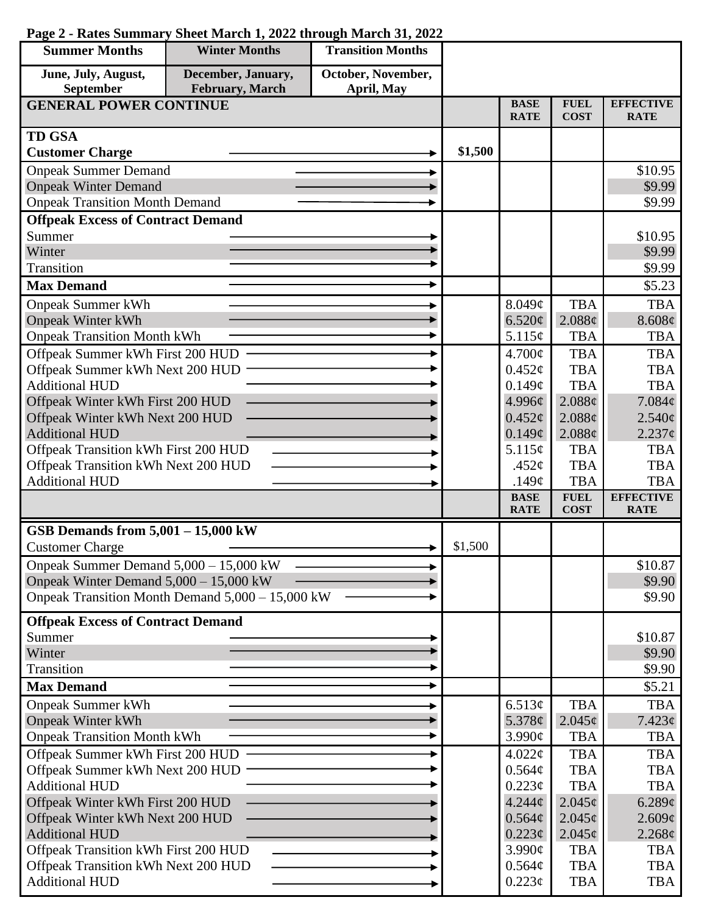| <b>Summer Months</b>                                          | <b>Winter Months</b>                             | <b>Transition Months</b> |         |                                    |                               |                                 |
|---------------------------------------------------------------|--------------------------------------------------|--------------------------|---------|------------------------------------|-------------------------------|---------------------------------|
| June, July, August,                                           | December, January,                               | October, November,       |         |                                    |                               |                                 |
| September                                                     | February, March                                  | April, May               |         |                                    |                               |                                 |
| <b>GENERAL POWER CONTINUE</b>                                 |                                                  |                          |         | <b>BASE</b><br><b>RATE</b>         | <b>FUEL</b><br><b>COST</b>    | <b>EFFECTIVE</b><br><b>RATE</b> |
| <b>TD GSA</b>                                                 |                                                  |                          |         |                                    |                               |                                 |
| <b>Customer Charge</b>                                        |                                                  |                          | \$1,500 |                                    |                               |                                 |
| <b>Onpeak Summer Demand</b>                                   |                                                  |                          |         |                                    |                               | \$10.95                         |
| <b>Onpeak Winter Demand</b>                                   |                                                  |                          |         |                                    |                               | \$9.99                          |
| <b>Onpeak Transition Month Demand</b>                         |                                                  |                          |         |                                    |                               | \$9.99                          |
| <b>Offpeak Excess of Contract Demand</b>                      |                                                  |                          |         |                                    |                               |                                 |
| Summer                                                        |                                                  |                          |         |                                    |                               | \$10.95                         |
| Winter                                                        |                                                  |                          |         |                                    |                               | \$9.99                          |
| Transition                                                    |                                                  |                          |         |                                    |                               | \$9.99                          |
| <b>Max Demand</b>                                             |                                                  |                          |         |                                    |                               | \$5.23                          |
| <b>Onpeak Summer kWh</b>                                      |                                                  |                          |         | 8.049¢                             | <b>TBA</b>                    | <b>TBA</b>                      |
| <b>Onpeak Winter kWh</b>                                      |                                                  |                          |         | 6.520¢                             | 2.088¢                        | 8.608¢                          |
| <b>Onpeak Transition Month kWh</b>                            |                                                  |                          |         | 5.115¢                             | <b>TBA</b>                    | <b>TBA</b>                      |
| Offpeak Summer kWh First 200 HUD                              |                                                  |                          |         | 4.700¢                             | <b>TBA</b>                    | <b>TBA</b>                      |
| Offpeak Summer kWh Next 200 HUD                               |                                                  |                          |         | $0.452\mathcal{C}$                 | <b>TBA</b>                    | <b>TBA</b>                      |
| <b>Additional HUD</b>                                         |                                                  |                          |         | 0.149¢                             | <b>TBA</b>                    | <b>TBA</b>                      |
| Offpeak Winter kWh First 200 HUD                              |                                                  |                          |         | 4.996¢                             | 2.088¢                        | 7.084¢                          |
| Offpeak Winter kWh Next 200 HUD                               |                                                  |                          |         | $0.452\ell$                        | 2.088¢                        | $2.540\epsilon$                 |
| <b>Additional HUD</b><br>Offpeak Transition kWh First 200 HUD |                                                  |                          |         | $0.149\mathcal{C}$<br>5.115¢       | 2.088¢<br><b>TBA</b>          | $2.237$ ¢<br><b>TBA</b>         |
|                                                               |                                                  |                          |         | .452 $\varphi$                     | <b>TBA</b>                    | <b>TBA</b>                      |
| Offpeak Transition kWh Next 200 HUD<br><b>Additional HUD</b>  |                                                  |                          |         | .149 $\varphi$                     | <b>TBA</b>                    | <b>TBA</b>                      |
|                                                               |                                                  |                          |         | <b>BASE</b>                        | <b>FUEL</b>                   | <b>EFFECTIVE</b>                |
|                                                               |                                                  |                          |         | <b>RATE</b>                        | <b>COST</b>                   | <b>RATE</b>                     |
| GSB Demands from $5,001 - 15,000$ kW                          |                                                  |                          |         |                                    |                               |                                 |
| <b>Customer Charge</b>                                        |                                                  |                          | \$1,500 |                                    |                               |                                 |
| Onpeak Summer Demand 5,000 - 15,000 kW                        |                                                  |                          |         |                                    |                               | \$10.87                         |
| Onpeak Winter Demand 5,000 - 15,000 kW                        |                                                  |                          |         |                                    |                               | \$9.90                          |
|                                                               | Onpeak Transition Month Demand 5,000 – 15,000 kW |                          |         |                                    |                               | \$9.90                          |
| <b>Offpeak Excess of Contract Demand</b>                      |                                                  |                          |         |                                    |                               |                                 |
| Summer                                                        |                                                  |                          |         |                                    |                               | \$10.87                         |
| Winter                                                        |                                                  |                          |         |                                    |                               | \$9.90                          |
| Transition                                                    |                                                  |                          |         |                                    |                               | \$9.90                          |
| <b>Max Demand</b>                                             |                                                  |                          |         |                                    |                               | \$5.21                          |
| <b>Onpeak Summer kWh</b>                                      |                                                  |                          |         | 6.513¢                             | <b>TBA</b>                    | <b>TBA</b>                      |
| <b>Onpeak Winter kWh</b>                                      |                                                  |                          |         | 5.378 $\phi$                       | $2.045\epsilon$               | $7.423\ell$                     |
| <b>Onpeak Transition Month kWh</b>                            |                                                  |                          |         | 3.990¢                             | <b>TBA</b>                    | <b>TBA</b>                      |
| Offpeak Summer kWh First 200 HUD                              |                                                  |                          |         | $4.022\phi$                        | <b>TBA</b>                    | <b>TBA</b>                      |
| Offpeak Summer kWh Next 200 HUD                               |                                                  |                          |         | 0.564¢                             | <b>TBA</b>                    | <b>TBA</b>                      |
| <b>Additional HUD</b>                                         |                                                  |                          |         | $0.223\phi$                        | <b>TBA</b>                    | <b>TBA</b>                      |
| Offpeak Winter kWh First 200 HUD                              |                                                  |                          |         | $4.244\phi$                        | $2.045\phi$                   | 6.289¢                          |
| Offpeak Winter kWh Next 200 HUD<br><b>Additional HUD</b>      |                                                  |                          |         | $0.564\phi$                        | $2.045\phi$                   | 2.609¢                          |
| Offpeak Transition kWh First 200 HUD                          |                                                  |                          |         | $0.223\epsilon$<br>$3.990\text{¢}$ | $2.045\epsilon$<br><b>TBA</b> | $2.268\phi$<br><b>TBA</b>       |
| Offpeak Transition kWh Next 200 HUD                           |                                                  |                          |         | $0.564\phi$                        | <b>TBA</b>                    | <b>TBA</b>                      |
| <b>Additional HUD</b>                                         |                                                  |                          |         | $0.223\phi$                        | <b>TBA</b>                    | <b>TBA</b>                      |
|                                                               |                                                  |                          |         |                                    |                               |                                 |

## **Page 2 - Rates Summary Sheet March 1, 2022 through March 31, 2022**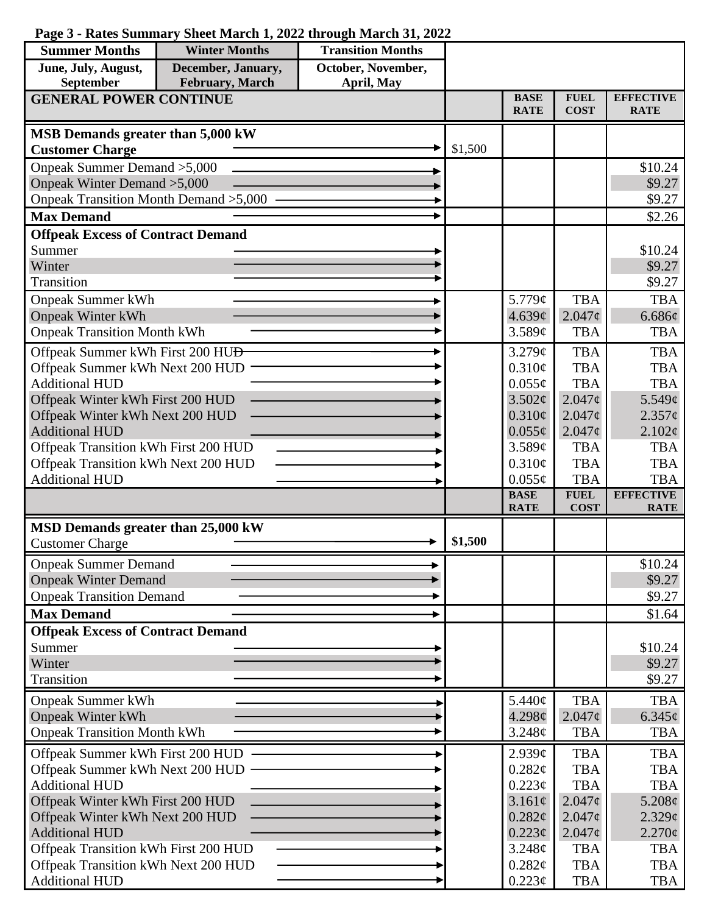## **Page 3 - Rates Summary Sheet March 1, 2022 through March 31, 2022**

| <b>Summer Months</b>                               | <b>Winter Months</b> | <b>Transition Months</b> |             |                            |                            |                                 |
|----------------------------------------------------|----------------------|--------------------------|-------------|----------------------------|----------------------------|---------------------------------|
| June, July, August,                                | December, January,   | October, November,       |             |                            |                            |                                 |
| <b>February</b> , March<br>September<br>April, May |                      |                          |             |                            |                            |                                 |
| <b>GENERAL POWER CONTINUE</b>                      |                      |                          |             | <b>BASE</b><br><b>RATE</b> | <b>FUEL</b><br><b>COST</b> | <b>EFFECTIVE</b><br><b>RATE</b> |
| MSB Demands greater than 5,000 kW                  |                      |                          |             |                            |                            |                                 |
| <b>Customer Charge</b>                             |                      |                          | \$1,500     |                            |                            |                                 |
| Onpeak Summer Demand > 5,000                       |                      |                          |             |                            |                            | \$10.24                         |
| Onpeak Winter Demand > 5,000                       |                      |                          |             |                            |                            | \$9.27                          |
| Onpeak Transition Month Demand > 5,000             |                      |                          |             |                            |                            | \$9.27                          |
| <b>Max Demand</b>                                  |                      |                          |             |                            |                            | \$2.26                          |
| <b>Offpeak Excess of Contract Demand</b>           |                      |                          |             |                            |                            |                                 |
| Summer                                             |                      |                          |             |                            |                            | \$10.24                         |
| Winter                                             |                      |                          |             |                            |                            | \$9.27                          |
| Transition                                         |                      |                          |             |                            |                            | \$9.27                          |
| <b>Onpeak Summer kWh</b>                           |                      |                          |             | 5.779¢                     | <b>TBA</b>                 | <b>TBA</b>                      |
| <b>Onpeak Winter kWh</b>                           |                      |                          |             | 4.639c                     | $2.047\phi$                | 6.686¢                          |
| <b>Onpeak Transition Month kWh</b>                 |                      |                          |             | 3.589c                     | <b>TBA</b>                 | <b>TBA</b>                      |
| Offpeak Summer kWh First 200 HU <del>D</del>       |                      |                          |             | $3.279\mathcal{C}$         | <b>TBA</b>                 | <b>TBA</b>                      |
| Offpeak Summer kWh Next 200 HUD                    |                      |                          |             | 0.310¢                     | <b>TBA</b>                 | <b>TBA</b>                      |
| <b>Additional HUD</b>                              |                      |                          |             | $0.055\phi$                | <b>TBA</b>                 | <b>TBA</b>                      |
| Offpeak Winter kWh First 200 HUD                   |                      |                          |             | 3.502¢                     | 2.047c                     | 5.549¢                          |
| Offpeak Winter kWh Next 200 HUD                    |                      |                          |             | $0.310\phi$                | 2.047c                     | $2.357\phi$                     |
| <b>Additional HUD</b>                              |                      |                          |             | $0.055\phi$                | $2.047\phi$                | $2.102\epsilon$                 |
| Offpeak Transition kWh First 200 HUD               |                      |                          |             | 3.589¢                     | <b>TBA</b>                 | <b>TBA</b>                      |
| Offpeak Transition kWh Next 200 HUD                |                      |                          |             | 0.310¢                     | <b>TBA</b>                 | <b>TBA</b>                      |
| <b>Additional HUD</b>                              |                      |                          |             | $0.055\phi$<br><b>BASE</b> | <b>TBA</b><br><b>FUEL</b>  | <b>TBA</b><br><b>EFFECTIVE</b>  |
|                                                    |                      |                          |             | <b>RATE</b>                | <b>COST</b>                | <b>RATE</b>                     |
| MSD Demands greater than 25,000 kW                 |                      |                          |             |                            |                            |                                 |
| <b>Customer Charge</b>                             |                      |                          | \$1,500     |                            |                            |                                 |
| <b>Onpeak Summer Demand</b>                        |                      |                          |             |                            |                            | \$10.24                         |
| <b>Onpeak Winter Demand</b>                        |                      |                          |             |                            |                            | \$9.27                          |
| <b>Onpeak Transition Demand</b>                    |                      |                          |             |                            |                            | \$9.27                          |
| <b>Max Demand</b>                                  |                      |                          |             |                            |                            | \$1.64                          |
| <b>Offpeak Excess of Contract Demand</b>           |                      |                          |             |                            |                            |                                 |
| Summer                                             |                      |                          |             |                            |                            | \$10.24                         |
| Winter                                             |                      |                          |             |                            |                            | \$9.27                          |
| Transition                                         |                      |                          |             |                            |                            | \$9.27                          |
| <b>Onpeak Summer kWh</b>                           |                      |                          |             | 5.440¢                     | <b>TBA</b>                 | <b>TBA</b>                      |
| <b>Onpeak Winter kWh</b>                           |                      |                          |             | 4.298¢                     | $2.047\phi$                | $6.345\phi$                     |
| <b>Onpeak Transition Month kWh</b>                 |                      |                          |             | 3.248¢                     | <b>TBA</b>                 | <b>TBA</b>                      |
| Offpeak Summer kWh First 200 HUD                   |                      |                          |             | 2.939¢                     | <b>TBA</b>                 | <b>TBA</b>                      |
| Offpeak Summer kWh Next 200 HUD                    |                      |                          | $0.282\ell$ | <b>TBA</b>                 | <b>TBA</b>                 |                                 |
| <b>Additional HUD</b>                              |                      |                          |             | $0.223\phi$                | <b>TBA</b>                 | <b>TBA</b>                      |
| Offpeak Winter kWh First 200 HUD                   |                      |                          |             | 3.161¢                     | 2.047c                     | $5.208\ell$                     |
| Offpeak Winter kWh Next 200 HUD                    |                      |                          |             | 0.282¢                     | $2.047\phi$                | $2.329\epsilon$                 |
| <b>Additional HUD</b>                              |                      |                          |             | $0.223\ell$                | $2.047\phi$                | $2.270\phi$                     |
| Offpeak Transition kWh First 200 HUD               |                      |                          |             | 3.248¢                     | <b>TBA</b>                 | <b>TBA</b>                      |
| Offpeak Transition kWh Next 200 HUD                |                      |                          |             | 0.282¢                     | <b>TBA</b>                 | TBA                             |
| <b>Additional HUD</b>                              |                      |                          |             | $0.223\phi$                | <b>TBA</b>                 | <b>TBA</b>                      |